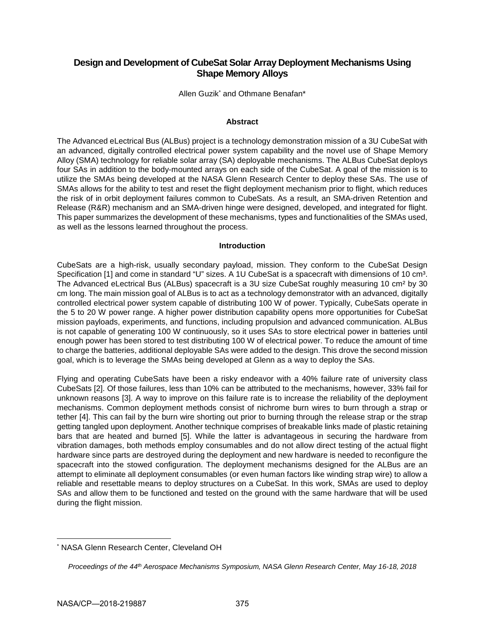# **Design and Development of CubeSat Solar Array Deployment Mechanisms Using Shape Memory Alloys**

Allen Guzik\* and Othmane Benafan\*

### **Abstract**

The Advanced eLectrical Bus (ALBus) project is a technology demonstration mission of a 3U CubeSat with an advanced, digitally controlled electrical power system capability and the novel use of Shape Memory Alloy (SMA) technology for reliable solar array (SA) deployable mechanisms. The ALBus CubeSat deploys four SAs in addition to the body-mounted arrays on each side of the CubeSat. A goal of the mission is to utilize the SMAs being developed at the NASA Glenn Research Center to deploy these SAs. The use of SMAs allows for the ability to test and reset the flight deployment mechanism prior to flight, which reduces the risk of in orbit deployment failures common to CubeSats. As a result, an SMA-driven Retention and Release (R&R) mechanism and an SMA-driven hinge were designed, developed, and integrated for flight. This paper summarizes the development of these mechanisms, types and functionalities of the SMAs used, as well as the lessons learned throughout the process.

### **Introduction**

CubeSats are a high-risk, usually secondary payload, mission. They conform to the CubeSat Design Specification [1] and come in standard "U" sizes. A 1U CubeSat is a spacecraft with dimensions of 10 cm<sup>3</sup>. The Advanced eLectrical Bus (ALBus) spacecraft is a 3U size CubeSat roughly measuring 10 cm² by 30 cm long. The main mission goal of ALBus is to act as a technology demonstrator with an advanced, digitally controlled electrical power system capable of distributing 100 W of power. Typically, CubeSats operate in the 5 to 20 W power range. A higher power distribution capability opens more opportunities for CubeSat mission payloads, experiments, and functions, including propulsion and advanced communication. ALBus is not capable of generating 100 W continuously, so it uses SAs to store electrical power in batteries until enough power has been stored to test distributing 100 W of electrical power. To reduce the amount of time to charge the batteries, additional deployable SAs were added to the design. This drove the second mission goal, which is to leverage the SMAs being developed at Glenn as a way to deploy the SAs.

Flying and operating CubeSats have been a risky endeavor with a 40% failure rate of university class CubeSats [2]. Of those failures, less than 10% can be attributed to the mechanisms, however, 33% fail for unknown reasons [3]. A way to improve on this failure rate is to increase the reliability of the deployment mechanisms. Common deployment methods consist of nichrome burn wires to burn through a strap or tether [4]. This can fail by the burn wire shorting out prior to burning through the release strap or the strap getting tangled upon deployment. Another technique comprises of breakable links made of plastic retaining bars that are heated and burned [5]. While the latter is advantageous in securing the hardware from vibration damages, both methods employ consumables and do not allow direct testing of the actual flight hardware since parts are destroyed during the deployment and new hardware is needed to reconfigure the spacecraft into the stowed configuration. The deployment mechanisms designed for the ALBus are an attempt to eliminate all deployment consumables (or even human factors like winding strap wire) to allow a reliable and resettable means to deploy structures on a CubeSat. In this work, SMAs are used to deploy SAs and allow them to be functioned and tested on the ground with the same hardware that will be used during the flight mission.

<sup>\*</sup> NASA Glenn Research Center, Cleveland OH

*Proceedings of the 44th Aerospace Mechanisms Symposium, NASA Glenn Research Center, May 16-18, 2018*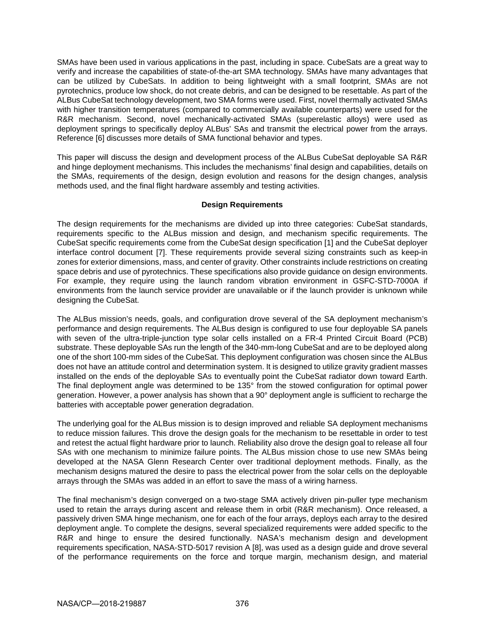SMAs have been used in various applications in the past, including in space. CubeSats are a great way to verify and increase the capabilities of state-of-the-art SMA technology. SMAs have many advantages that can be utilized by CubeSats. In addition to being lightweight with a small footprint, SMAs are not pyrotechnics, produce low shock, do not create debris, and can be designed to be resettable. As part of the ALBus CubeSat technology development, two SMA forms were used. First, novel thermally activated SMAs with higher transition temperatures (compared to commercially available counterparts) were used for the R&R mechanism. Second, novel mechanically-activated SMAs (superelastic alloys) were used as deployment springs to specifically deploy ALBus' SAs and transmit the electrical power from the arrays. Reference [6] discusses more details of SMA functional behavior and types.

This paper will discuss the design and development process of the ALBus CubeSat deployable SA R&R and hinge deployment mechanisms. This includes the mechanisms' final design and capabilities, details on the SMAs, requirements of the design, design evolution and reasons for the design changes, analysis methods used, and the final flight hardware assembly and testing activities.

### **Design Requirements**

The design requirements for the mechanisms are divided up into three categories: CubeSat standards, requirements specific to the ALBus mission and design, and mechanism specific requirements. The CubeSat specific requirements come from the CubeSat design specification [1] and the CubeSat deployer interface control document [7]. These requirements provide several sizing constraints such as keep-in zones for exterior dimensions, mass, and center of gravity. Other constraints include restrictions on creating space debris and use of pyrotechnics. These specifications also provide guidance on design environments. For example, they require using the launch random vibration environment in GSFC-STD-7000A if environments from the launch service provider are unavailable or if the launch provider is unknown while designing the CubeSat.

The ALBus mission's needs, goals, and configuration drove several of the SA deployment mechanism's performance and design requirements. The ALBus design is configured to use four deployable SA panels with seven of the ultra-triple-junction type solar cells installed on a FR-4 Printed Circuit Board (PCB) substrate. These deployable SAs run the length of the 340-mm-long CubeSat and are to be deployed along one of the short 100-mm sides of the CubeSat. This deployment configuration was chosen since the ALBus does not have an attitude control and determination system. It is designed to utilize gravity gradient masses installed on the ends of the deployable SAs to eventually point the CubeSat radiator down toward Earth. The final deployment angle was determined to be 135° from the stowed configuration for optimal power generation. However, a power analysis has shown that a 90° deployment angle is sufficient to recharge the batteries with acceptable power generation degradation.

The underlying goal for the ALBus mission is to design improved and reliable SA deployment mechanisms to reduce mission failures. This drove the design goals for the mechanism to be resettable in order to test and retest the actual flight hardware prior to launch. Reliability also drove the design goal to release all four SAs with one mechanism to minimize failure points. The ALBus mission chose to use new SMAs being developed at the NASA Glenn Research Center over traditional deployment methods. Finally, as the mechanism designs matured the desire to pass the electrical power from the solar cells on the deployable arrays through the SMAs was added in an effort to save the mass of a wiring harness.

The final mechanism's design converged on a two-stage SMA actively driven pin-puller type mechanism used to retain the arrays during ascent and release them in orbit (R&R mechanism). Once released, a passively driven SMA hinge mechanism, one for each of the four arrays, deploys each array to the desired deployment angle. To complete the designs, several specialized requirements were added specific to the R&R and hinge to ensure the desired functionally. NASA's mechanism design and development requirements specification, NASA-STD-5017 revision A [8], was used as a design guide and drove several of the performance requirements on the force and torque margin, mechanism design, and material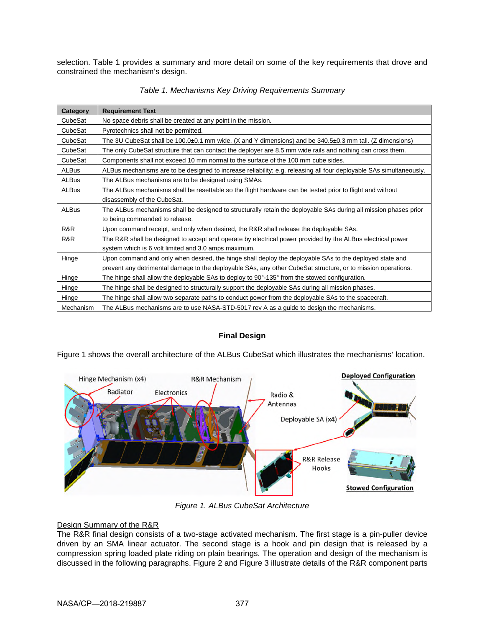selection. Table 1 provides a summary and more detail on some of the key requirements that drove and constrained the mechanism's design.

| Category     | <b>Requirement Text</b>                                                                                             |  |  |
|--------------|---------------------------------------------------------------------------------------------------------------------|--|--|
| CubeSat      | No space debris shall be created at any point in the mission.                                                       |  |  |
| CubeSat      | Pyrotechnics shall not be permitted.                                                                                |  |  |
| CubeSat      | The 3U CubeSat shall be 100.0±0.1 mm wide. (X and Y dimensions) and be 340.5±0.3 mm tall. (Z dimensions)            |  |  |
| CubeSat      | The only CubeSat structure that can contact the deployer are 8.5 mm wide rails and nothing can cross them.          |  |  |
| CubeSat      | Components shall not exceed 10 mm normal to the surface of the 100 mm cube sides.                                   |  |  |
| <b>ALBus</b> | ALBus mechanisms are to be designed to increase reliability; e.g. releasing all four deployable SAs simultaneously. |  |  |
| <b>ALBus</b> | The ALBus mechanisms are to be designed using SMAs.                                                                 |  |  |
| <b>ALBus</b> | The ALBus mechanisms shall be resettable so the flight hardware can be tested prior to flight and without           |  |  |
|              | disassembly of the CubeSat.                                                                                         |  |  |
| ALBus        | The ALBus mechanisms shall be designed to structurally retain the deployable SAs during all mission phases prior    |  |  |
|              | to being commanded to release.                                                                                      |  |  |
| R&R          | Upon command receipt, and only when desired, the R&R shall release the deployable SAs.                              |  |  |
| R&R          | The R&R shall be designed to accept and operate by electrical power provided by the ALBus electrical power          |  |  |
|              | system which is 6 volt limited and 3.0 amps maximum.                                                                |  |  |
| Hinge        | Upon command and only when desired, the hinge shall deploy the deployable SAs to the deployed state and             |  |  |
|              | prevent any detrimental damage to the deployable SAs, any other CubeSat structure, or to mission operations.        |  |  |
| Hinge        | The hinge shall allow the deployable SAs to deploy to $90^{\circ}$ -135 $^{\circ}$ from the stowed configuration.   |  |  |
| Hinge        | The hinge shall be designed to structurally support the deployable SAs during all mission phases.                   |  |  |
| Hinge        | The hinge shall allow two separate paths to conduct power from the deployable SAs to the spacecraft.                |  |  |
| Mechanism    | The ALBus mechanisms are to use NASA-STD-5017 rev A as a guide to design the mechanisms.                            |  |  |

*Table 1. Mechanisms Key Driving Requirements Summary* 

# **Final Design**

Figure 1 shows the overall architecture of the ALBus CubeSat which illustrates the mechanisms' location.



*Figure 1. ALBus CubeSat Architecture* 

# Design Summary of the R&R

The R&R final design consists of a two-stage activated mechanism. The first stage is a pin-puller device driven by an SMA linear actuator. The second stage is a hook and pin design that is released by a compression spring loaded plate riding on plain bearings. The operation and design of the mechanism is discussed in the following paragraphs. Figure 2 and Figure 3 illustrate details of the R&R component parts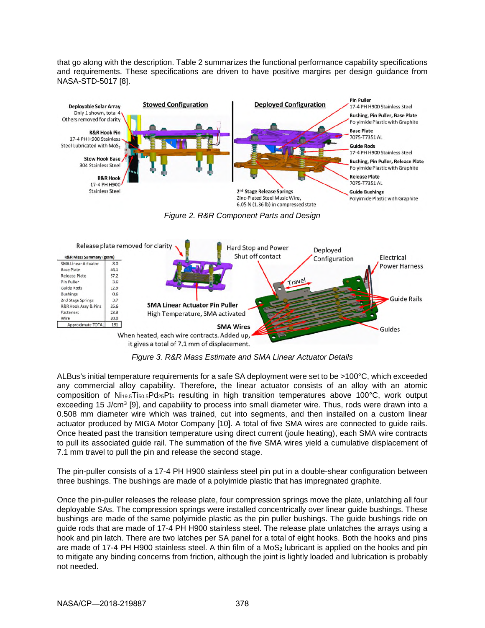that go along with the description. Table 2 summarizes the functional performance capability specifications and requirements. These specifications are driven to have positive margins per design guidance from NASA-STD-5017 [8].



*Figure 3. R&R Mass Estimate and SMA Linear Actuator Details* 

ALBus's initial temperature requirements for a safe SA deployment were set to be >100°C, which exceeded any commercial alloy capability. Therefore, the linear actuator consists of an alloy with an atomic composition of  $Ni_{19.5}Ti_{50.5}Pd_{25}Pt_5$  resulting in high transition temperatures above 100°C, work output exceeding 15 J/cm<sup>3</sup> [9], and capability to process into small diameter wire. Thus, rods were drawn into a 0.508 mm diameter wire which was trained, cut into segments, and then installed on a custom linear actuator produced by MIGA Motor Company [10]. A total of five SMA wires are connected to guide rails. Once heated past the transition temperature using direct current (joule heating), each SMA wire contracts to pull its associated guide rail. The summation of the five SMA wires yield a cumulative displacement of 7.1 mm travel to pull the pin and release the second stage.

The pin-puller consists of a 17-4 PH H900 stainless steel pin put in a double-shear configuration between three bushings. The bushings are made of a polyimide plastic that has impregnated graphite.

Once the pin-puller releases the release plate, four compression springs move the plate, unlatching all four deployable SAs. The compression springs were installed concentrically over linear guide bushings. These bushings are made of the same polyimide plastic as the pin puller bushings. The guide bushings ride on guide rods that are made of 17-4 PH H900 stainless steel. The release plate unlatches the arrays using a hook and pin latch. There are two latches per SA panel for a total of eight hooks. Both the hooks and pins are made of 17-4 PH H900 stainless steel. A thin film of a MoS<sub>2</sub> lubricant is applied on the hooks and pin to mitigate any binding concerns from friction, although the joint is lightly loaded and lubrication is probably not needed.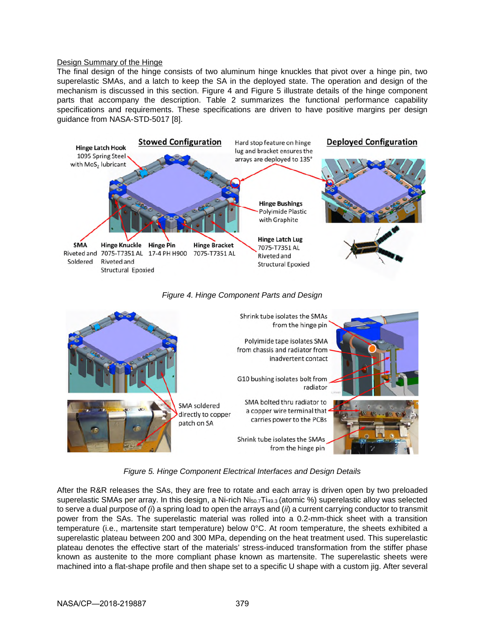### Design Summary of the Hinge

The final design of the hinge consists of two aluminum hinge knuckles that pivot over a hinge pin, two superelastic SMAs, and a latch to keep the SA in the deployed state. The operation and design of the mechanism is discussed in this section. Figure 4 and Figure 5 illustrate details of the hinge component parts that accompany the description. Table 2 summarizes the functional performance capability specifications and requirements. These specifications are driven to have positive margins per design guidance from NASA-STD-5017 [8].





# *Figure 4. Hinge Component Parts and Design*

*Figure 5. Hinge Component Electrical Interfaces and Design Details* 

After the R&R releases the SAs, they are free to rotate and each array is driven open by two preloaded superelastic SMAs per array. In this design, a Ni-rich  $N_{50.7}T_{49.3}$  (atomic %) superelastic alloy was selected to serve a dual purpose of *(i*) a spring load to open the arrays and (*ii*) a current carrying conductor to transmit power from the SAs. The superelastic material was rolled into a 0.2-mm-thick sheet with a transition temperature (i.e., martensite start temperature) below 0°C. At room temperature, the sheets exhibited a superelastic plateau between 200 and 300 MPa, depending on the heat treatment used. This superelastic plateau denotes the effective start of the materials' stress-induced transformation from the stiffer phase known as austenite to the more compliant phase known as martensite. The superelastic sheets were machined into a flat-shape profile and then shape set to a specific U shape with a custom jig. After several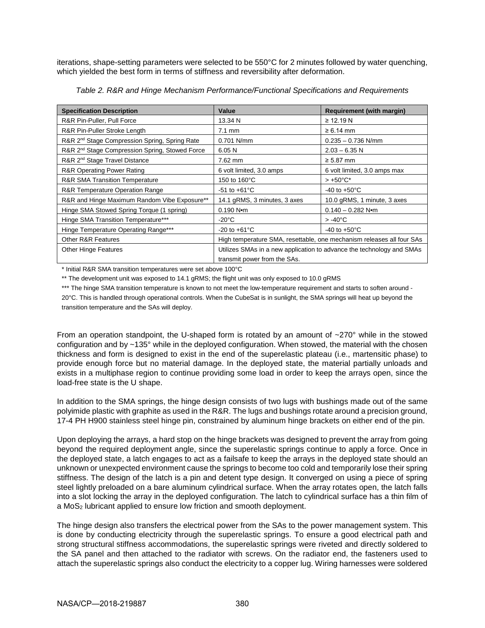iterations, shape-setting parameters were selected to be 550°C for 2 minutes followed by water quenching, which yielded the best form in terms of stiffness and reversibility after deformation.

| <b>Specification Description</b>                           | Value                                                                 | <b>Requirement (with margin)</b> |
|------------------------------------------------------------|-----------------------------------------------------------------------|----------------------------------|
| R&R Pin-Puller, Pull Force                                 | 13.34 N                                                               | $\geq$ 12.19 N                   |
| R&R Pin-Puller Stroke Length                               | 7.1 mm                                                                | $\geq 6.14$ mm                   |
| R&R 2 <sup>nd</sup> Stage Compression Spring, Spring Rate  | 0.701 N/mm                                                            | $0.235 - 0.736$ N/mm             |
| R&R 2 <sup>nd</sup> Stage Compression Spring, Stowed Force | 6.05N                                                                 | $2.03 - 6.35$ N                  |
| R&R 2 <sup>nd</sup> Stage Travel Distance                  | 7.62 mm                                                               | $\geq 5.87$ mm                   |
| <b>R&amp;R Operating Power Rating</b>                      | 6 volt limited, 3.0 amps                                              | 6 volt limited, 3.0 amps max     |
| <b>R&amp;R SMA Transition Temperature</b>                  | 150 to 160°C                                                          | $> +50^{\circ}$ C*               |
| R&R Temperature Operation Range                            | $-51$ to $+61^{\circ}$ C                                              | -40 to +50 $^{\circ}$ C          |
| R&R and Hinge Maximum Random Vibe Exposure**               | 14.1 gRMS, 3 minutes, 3 axes                                          | 10.0 gRMS, 1 minute, 3 axes      |
| Hinge SMA Stowed Spring Torque (1 spring)                  | $0.190 N$ m                                                           | $0.140 - 0.282$ N $\bullet$ m    |
| Hinge SMA Transition Temperature***                        | $-20^{\circ}$ C                                                       | $> -40^{\circ}$ C                |
| Hinge Temperature Operating Range***                       | $-20$ to $+61^{\circ}$ C                                              | -40 to $+50^{\circ}$ C           |
| Other R&R Features                                         | High temperature SMA, resettable, one mechanism releases all four SAs |                                  |
| <b>Other Hinge Features</b>                                | Utilizes SMAs in a new application to advance the technology and SMAs |                                  |
|                                                            | transmit power from the SAs.                                          |                                  |

*Table 2. R&R and Hinge Mechanism Performance/Functional Specifications and Requirements* 

\* Initial R&R SMA transition temperatures were set above 100°C

\*\* The development unit was exposed to 14.1 gRMS; the flight unit was only exposed to 10.0 gRMS

\*\*\* The hinge SMA transition temperature is known to not meet the low-temperature requirement and starts to soften around -20°C. This is handled through operational controls. When the CubeSat is in sunlight, the SMA springs will heat up beyond the transition temperature and the SAs will deploy.

From an operation standpoint, the U-shaped form is rotated by an amount of ~270° while in the stowed configuration and by ~135° while in the deployed configuration. When stowed, the material with the chosen thickness and form is designed to exist in the end of the superelastic plateau (i.e., martensitic phase) to provide enough force but no material damage. In the deployed state, the material partially unloads and exists in a multiphase region to continue providing some load in order to keep the arrays open, since the load-free state is the U shape.

In addition to the SMA springs, the hinge design consists of two lugs with bushings made out of the same polyimide plastic with graphite as used in the R&R. The lugs and bushings rotate around a precision ground, 17-4 PH H900 stainless steel hinge pin, constrained by aluminum hinge brackets on either end of the pin.

Upon deploying the arrays, a hard stop on the hinge brackets was designed to prevent the array from going beyond the required deployment angle, since the superelastic springs continue to apply a force. Once in the deployed state, a latch engages to act as a failsafe to keep the arrays in the deployed state should an unknown or unexpected environment cause the springs to become too cold and temporarily lose their spring stiffness. The design of the latch is a pin and detent type design. It converged on using a piece of spring steel lightly preloaded on a bare aluminum cylindrical surface. When the array rotates open, the latch falls into a slot locking the array in the deployed configuration. The latch to cylindrical surface has a thin film of a MoS2 lubricant applied to ensure low friction and smooth deployment.

The hinge design also transfers the electrical power from the SAs to the power management system. This is done by conducting electricity through the superelastic springs. To ensure a good electrical path and strong structural stiffness accommodations, the superelastic springs were riveted and directly soldered to the SA panel and then attached to the radiator with screws. On the radiator end, the fasteners used to attach the superelastic springs also conduct the electricity to a copper lug. Wiring harnesses were soldered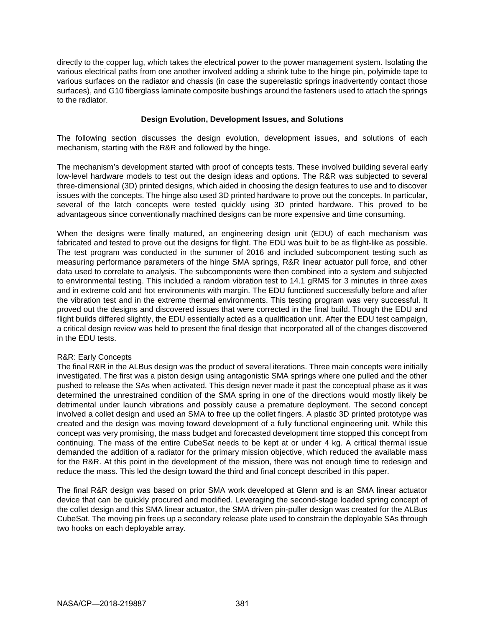directly to the copper lug, which takes the electrical power to the power management system. Isolating the various electrical paths from one another involved adding a shrink tube to the hinge pin, polyimide tape to various surfaces on the radiator and chassis (in case the superelastic springs inadvertently contact those surfaces), and G10 fiberglass laminate composite bushings around the fasteners used to attach the springs to the radiator.

### **Design Evolution, Development Issues, and Solutions**

The following section discusses the design evolution, development issues, and solutions of each mechanism, starting with the R&R and followed by the hinge.

The mechanism's development started with proof of concepts tests. These involved building several early low-level hardware models to test out the design ideas and options. The R&R was subjected to several three-dimensional (3D) printed designs, which aided in choosing the design features to use and to discover issues with the concepts. The hinge also used 3D printed hardware to prove out the concepts. In particular, several of the latch concepts were tested quickly using 3D printed hardware. This proved to be advantageous since conventionally machined designs can be more expensive and time consuming.

When the designs were finally matured, an engineering design unit (EDU) of each mechanism was fabricated and tested to prove out the designs for flight. The EDU was built to be as flight-like as possible. The test program was conducted in the summer of 2016 and included subcomponent testing such as measuring performance parameters of the hinge SMA springs, R&R linear actuator pull force, and other data used to correlate to analysis. The subcomponents were then combined into a system and subjected to environmental testing. This included a random vibration test to 14.1 gRMS for 3 minutes in three axes and in extreme cold and hot environments with margin. The EDU functioned successfully before and after the vibration test and in the extreme thermal environments. This testing program was very successful. It proved out the designs and discovered issues that were corrected in the final build. Though the EDU and flight builds differed slightly, the EDU essentially acted as a qualification unit. After the EDU test campaign, a critical design review was held to present the final design that incorporated all of the changes discovered in the EDU tests.

# R&R: Early Concepts

The final R&R in the ALBus design was the product of several iterations. Three main concepts were initially investigated. The first was a piston design using antagonistic SMA springs where one pulled and the other pushed to release the SAs when activated. This design never made it past the conceptual phase as it was determined the unrestrained condition of the SMA spring in one of the directions would mostly likely be detrimental under launch vibrations and possibly cause a premature deployment. The second concept involved a collet design and used an SMA to free up the collet fingers. A plastic 3D printed prototype was created and the design was moving toward development of a fully functional engineering unit. While this concept was very promising, the mass budget and forecasted development time stopped this concept from continuing. The mass of the entire CubeSat needs to be kept at or under 4 kg. A critical thermal issue demanded the addition of a radiator for the primary mission objective, which reduced the available mass for the R&R. At this point in the development of the mission, there was not enough time to redesign and reduce the mass. This led the design toward the third and final concept described in this paper.

The final R&R design was based on prior SMA work developed at Glenn and is an SMA linear actuator device that can be quickly procured and modified. Leveraging the second-stage loaded spring concept of the collet design and this SMA linear actuator, the SMA driven pin-puller design was created for the ALBus CubeSat. The moving pin frees up a secondary release plate used to constrain the deployable SAs through two hooks on each deployable array.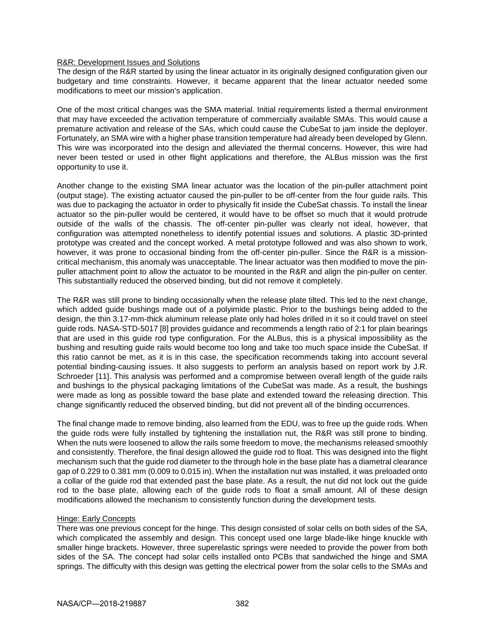### R&R: Development Issues and Solutions

The design of the R&R started by using the linear actuator in its originally designed configuration given our budgetary and time constraints. However, it became apparent that the linear actuator needed some modifications to meet our mission's application.

One of the most critical changes was the SMA material. Initial requirements listed a thermal environment that may have exceeded the activation temperature of commercially available SMAs. This would cause a premature activation and release of the SAs, which could cause the CubeSat to jam inside the deployer. Fortunately, an SMA wire with a higher phase transition temperature had already been developed by Glenn. This wire was incorporated into the design and alleviated the thermal concerns. However, this wire had never been tested or used in other flight applications and therefore, the ALBus mission was the first opportunity to use it.

Another change to the existing SMA linear actuator was the location of the pin-puller attachment point (output stage). The existing actuator caused the pin-puller to be off-center from the four guide rails. This was due to packaging the actuator in order to physically fit inside the CubeSat chassis. To install the linear actuator so the pin-puller would be centered, it would have to be offset so much that it would protrude outside of the walls of the chassis. The off-center pin-puller was clearly not ideal, however, that configuration was attempted nonetheless to identify potential issues and solutions. A plastic 3D-printed prototype was created and the concept worked. A metal prototype followed and was also shown to work, however, it was prone to occasional binding from the off-center pin-puller. Since the R&R is a missioncritical mechanism, this anomaly was unacceptable. The linear actuator was then modified to move the pinpuller attachment point to allow the actuator to be mounted in the R&R and align the pin-puller on center. This substantially reduced the observed binding, but did not remove it completely.

The R&R was still prone to binding occasionally when the release plate tilted. This led to the next change, which added guide bushings made out of a polyimide plastic. Prior to the bushings being added to the design, the thin 3.17-mm-thick aluminum release plate only had holes drilled in it so it could travel on steel guide rods. NASA-STD-5017 [8] provides guidance and recommends a length ratio of 2:1 for plain bearings that are used in this guide rod type configuration. For the ALBus, this is a physical impossibility as the bushing and resulting guide rails would become too long and take too much space inside the CubeSat. If this ratio cannot be met, as it is in this case, the specification recommends taking into account several potential binding-causing issues. It also suggests to perform an analysis based on report work by J.R. Schroeder [11]. This analysis was performed and a compromise between overall length of the guide rails and bushings to the physical packaging limitations of the CubeSat was made. As a result, the bushings were made as long as possible toward the base plate and extended toward the releasing direction. This change significantly reduced the observed binding, but did not prevent all of the binding occurrences.

The final change made to remove binding, also learned from the EDU, was to free up the guide rods. When the guide rods were fully installed by tightening the installation nut, the R&R was still prone to binding. When the nuts were loosened to allow the rails some freedom to move, the mechanisms released smoothly and consistently. Therefore, the final design allowed the guide rod to float. This was designed into the flight mechanism such that the guide rod diameter to the through hole in the base plate has a diametral clearance gap of 0.229 to 0.381 mm (0.009 to 0.015 in). When the installation nut was installed, it was preloaded onto a collar of the guide rod that extended past the base plate. As a result, the nut did not lock out the guide rod to the base plate, allowing each of the guide rods to float a small amount. All of these design modifications allowed the mechanism to consistently function during the development tests.

### Hinge: Early Concepts

There was one previous concept for the hinge. This design consisted of solar cells on both sides of the SA, which complicated the assembly and design. This concept used one large blade-like hinge knuckle with smaller hinge brackets. However, three superelastic springs were needed to provide the power from both sides of the SA. The concept had solar cells installed onto PCBs that sandwiched the hinge and SMA springs. The difficulty with this design was getting the electrical power from the solar cells to the SMAs and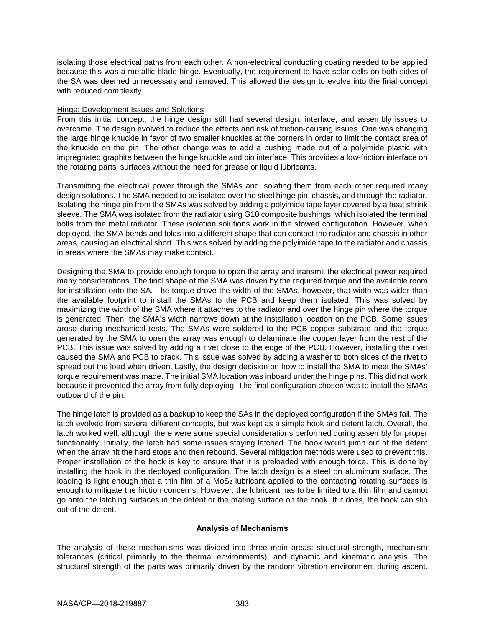isolating those electrical paths from each other. A non-electrical conducting coating needed to be applied because this was a metallic blade hinge. Eventually, the requirement to have solar cells on both sides of the SA was deemed unnecessary and removed. This allowed the design to evolve into the final concept with reduced complexity.

### Hinge: Development Issues and Solutions

From this initial concept, the hinge design still had several design, interface, and assembly issues to overcome. The design evolved to reduce the effects and risk of friction-causing issues. One was changing the large hinge knuckle in favor of two smaller knuckles at the corners in order to limit the contact area of the knuckle on the pin. The other change was to add a bushing made out of a polyimide plastic with impregnated graphite between the hinge knuckle and pin interface. This provides a low-friction interface on the rotating parts' surfaces without the need for grease or liquid lubricants.

Transmitting the electrical power through the SMAs and isolating them from each other required many design solutions. The SMA needed to be isolated over the steel hinge pin, chassis, and through the radiator. Isolating the hinge pin from the SMAs was solved by adding a polyimide tape layer covered by a heat shrink sleeve. The SMA was isolated from the radiator using G10 composite bushings, which isolated the terminal bolts from the metal radiator. These isolation solutions work in the stowed configuration. However, when deployed, the SMA bends and folds into a different shape that can contact the radiator and chassis in other areas, causing an electrical short. This was solved by adding the polyimide tape to the radiator and chassis in areas where the SMAs may make contact.

Designing the SMA to provide enough torque to open the array and transmit the electrical power required many considerations. The final shape of the SMA was driven by the required torque and the available room for installation onto the SA. The torque drove the width of the SMAs, however, that width was wider than the available footprint to install the SMAs to the PCB and keep them isolated. This was solved by maximizing the width of the SMA where it attaches to the radiator and over the hinge pin where the torque is generated. Then, the SMA's width narrows down at the installation location on the PCB. Some issues arose during mechanical tests. The SMAs were soldered to the PCB copper substrate and the torque generated by the SMA to open the array was enough to delaminate the copper layer from the rest of the PCB. This issue was solved by adding a rivet close to the edge of the PCB. However, installing the rivet caused the SMA and PCB to crack. This issue was solved by adding a washer to both sides of the rivet to spread out the load when driven. Lastly, the design decision on how to install the SMA to meet the SMAs' torque requirement was made. The initial SMA location was inboard under the hinge pins. This did not work because it prevented the array from fully deploying. The final configuration chosen was to install the SMAs outboard of the pin.

The hinge latch is provided as a backup to keep the SAs in the deployed configuration if the SMAs fail. The latch evolved from several different concepts, but was kept as a simple hook and detent latch. Overall, the latch worked well, although there were some special considerations performed during assembly for proper functionality. Initially, the latch had some issues staying latched. The hook would jump out of the detent when the array hit the hard stops and then rebound. Several mitigation methods were used to prevent this. Proper installation of the hook is key to ensure that it is preloaded with enough force. This is done by installing the hook in the deployed configuration. The latch design is a steel on aluminum surface. The loading is light enough that a thin film of a MoS<sub>2</sub> lubricant applied to the contacting rotating surfaces is enough to mitigate the friction concerns. However, the lubricant has to be limited to a thin film and cannot go onto the latching surfaces in the detent or the mating surface on the hook. If it does, the hook can slip out of the detent.

### **Analysis of Mechanisms**

The analysis of these mechanisms was divided into three main areas: structural strength, mechanism tolerances (critical primarily to the thermal environments), and dynamic and kinematic analysis. The structural strength of the parts was primarily driven by the random vibration environment during ascent.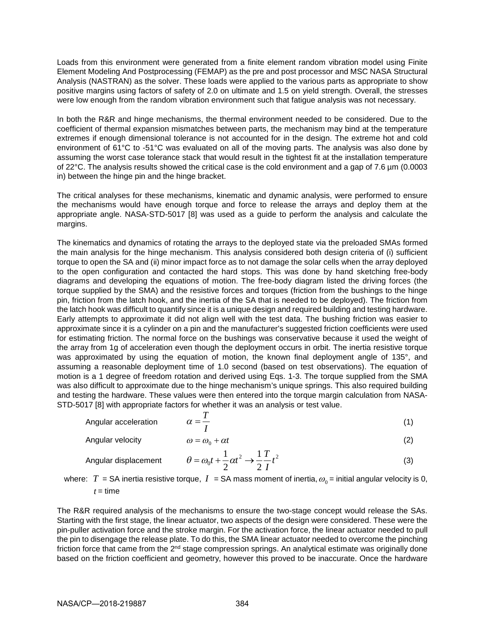Loads from this environment were generated from a finite element random vibration model using Finite Element Modeling And Postprocessing (FEMAP) as the pre and post processor and MSC NASA Structural Analysis (NASTRAN) as the solver. These loads were applied to the various parts as appropriate to show positive margins using factors of safety of 2.0 on ultimate and 1.5 on yield strength. Overall, the stresses were low enough from the random vibration environment such that fatigue analysis was not necessary.

In both the R&R and hinge mechanisms, the thermal environment needed to be considered. Due to the coefficient of thermal expansion mismatches between parts, the mechanism may bind at the temperature extremes if enough dimensional tolerance is not accounted for in the design. The extreme hot and cold environment of 61°C to -51°C was evaluated on all of the moving parts. The analysis was also done by assuming the worst case tolerance stack that would result in the tightest fit at the installation temperature of 22°C. The analysis results showed the critical case is the cold environment and a gap of 7.6 µm (0.0003 in) between the hinge pin and the hinge bracket.

The critical analyses for these mechanisms, kinematic and dynamic analysis, were performed to ensure the mechanisms would have enough torque and force to release the arrays and deploy them at the appropriate angle. NASA-STD-5017 [8] was used as a guide to perform the analysis and calculate the margins.

The kinematics and dynamics of rotating the arrays to the deployed state via the preloaded SMAs formed the main analysis for the hinge mechanism. This analysis considered both design criteria of (i) sufficient torque to open the SA and (ii) minor impact force as to not damage the solar cells when the array deployed to the open configuration and contacted the hard stops. This was done by hand sketching free-body diagrams and developing the equations of motion. The free-body diagram listed the driving forces (the torque supplied by the SMA) and the resistive forces and torques (friction from the bushings to the hinge pin, friction from the latch hook, and the inertia of the SA that is needed to be deployed). The friction from the latch hook was difficult to quantify since it is a unique design and required building and testing hardware. Early attempts to approximate it did not align well with the test data. The bushing friction was easier to approximate since it is a cylinder on a pin and the manufacturer's suggested friction coefficients were used for estimating friction. The normal force on the bushings was conservative because it used the weight of the array from 1g of acceleration even though the deployment occurs in orbit. The inertia resistive torque was approximated by using the equation of motion, the known final deployment angle of 135°, and assuming a reasonable deployment time of 1.0 second (based on test observations). The equation of motion is a 1 degree of freedom rotation and derived using Eqs. 1-3. The torque supplied from the SMA was also difficult to approximate due to the hinge mechanism's unique springs. This also required building and testing the hardware. These values were then entered into the torque margin calculation from NASA-STD-5017 [8] with appropriate factors for whether it was an analysis or test value.

Angular acceleration

\n
$$
\alpha = \frac{T}{I}
$$
\n(1)

Angular velocity  $\omega = \omega_0 + \alpha t$ (2)

Angular displacement 
$$
\theta = \omega_0 t + \frac{1}{2} \alpha t^2 \rightarrow \frac{1}{2} \frac{T}{I} t^2
$$
 (3)

where:  $T$  = SA inertia resistive torque,  $I\;$  = SA mass moment of inertia,  $\omega_{\textrm{0}}$  = initial angular velocity is 0,  $t =$ time

The R&R required analysis of the mechanisms to ensure the two-stage concept would release the SAs. Starting with the first stage, the linear actuator, two aspects of the design were considered. These were the pin-puller activation force and the stroke margin. For the activation force, the linear actuator needed to pull the pin to disengage the release plate. To do this, the SMA linear actuator needed to overcome the pinching friction force that came from the 2<sup>nd</sup> stage compression springs. An analytical estimate was originally done based on the friction coefficient and geometry, however this proved to be inaccurate. Once the hardware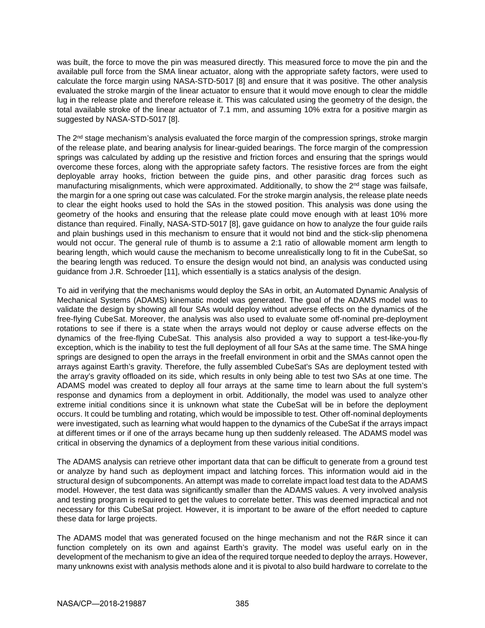was built, the force to move the pin was measured directly. This measured force to move the pin and the available pull force from the SMA linear actuator, along with the appropriate safety factors, were used to calculate the force margin using NASA-STD-5017 [8] and ensure that it was positive. The other analysis evaluated the stroke margin of the linear actuator to ensure that it would move enough to clear the middle lug in the release plate and therefore release it. This was calculated using the geometry of the design, the total available stroke of the linear actuator of 7.1 mm, and assuming 10% extra for a positive margin as suggested by NASA-STD-5017 [8].

The 2<sup>nd</sup> stage mechanism's analysis evaluated the force margin of the compression springs, stroke margin of the release plate, and bearing analysis for linear-guided bearings. The force margin of the compression springs was calculated by adding up the resistive and friction forces and ensuring that the springs would overcome these forces, along with the appropriate safety factors. The resistive forces are from the eight deployable array hooks, friction between the guide pins, and other parasitic drag forces such as manufacturing misalignments, which were approximated. Additionally, to show the 2<sup>nd</sup> stage was failsafe, the margin for a one spring out case was calculated. For the stroke margin analysis, the release plate needs to clear the eight hooks used to hold the SAs in the stowed position. This analysis was done using the geometry of the hooks and ensuring that the release plate could move enough with at least 10% more distance than required. Finally, NASA-STD-5017 [8], gave guidance on how to analyze the four guide rails and plain bushings used in this mechanism to ensure that it would not bind and the stick-slip phenomena would not occur. The general rule of thumb is to assume a 2:1 ratio of allowable moment arm length to bearing length, which would cause the mechanism to become unrealistically long to fit in the CubeSat, so the bearing length was reduced. To ensure the design would not bind, an analysis was conducted using guidance from J.R. Schroeder [11], which essentially is a statics analysis of the design.

To aid in verifying that the mechanisms would deploy the SAs in orbit, an Automated Dynamic Analysis of Mechanical Systems (ADAMS) kinematic model was generated. The goal of the ADAMS model was to validate the design by showing all four SAs would deploy without adverse effects on the dynamics of the free-flying CubeSat. Moreover, the analysis was also used to evaluate some off-nominal pre-deployment rotations to see if there is a state when the arrays would not deploy or cause adverse effects on the dynamics of the free-flying CubeSat. This analysis also provided a way to support a test-like-you-fly exception, which is the inability to test the full deployment of all four SAs at the same time. The SMA hinge springs are designed to open the arrays in the freefall environment in orbit and the SMAs cannot open the arrays against Earth's gravity. Therefore, the fully assembled CubeSat's SAs are deployment tested with the array's gravity offloaded on its side, which results in only being able to test two SAs at one time. The ADAMS model was created to deploy all four arrays at the same time to learn about the full system's response and dynamics from a deployment in orbit. Additionally, the model was used to analyze other extreme initial conditions since it is unknown what state the CubeSat will be in before the deployment occurs. It could be tumbling and rotating, which would be impossible to test. Other off-nominal deployments were investigated, such as learning what would happen to the dynamics of the CubeSat if the arrays impact at different times or if one of the arrays became hung up then suddenly released. The ADAMS model was critical in observing the dynamics of a deployment from these various initial conditions.

The ADAMS analysis can retrieve other important data that can be difficult to generate from a ground test or analyze by hand such as deployment impact and latching forces. This information would aid in the structural design of subcomponents. An attempt was made to correlate impact load test data to the ADAMS model. However, the test data was significantly smaller than the ADAMS values. A very involved analysis and testing program is required to get the values to correlate better. This was deemed impractical and not necessary for this CubeSat project. However, it is important to be aware of the effort needed to capture these data for large projects.

The ADAMS model that was generated focused on the hinge mechanism and not the R&R since it can function completely on its own and against Earth's gravity. The model was useful early on in the development of the mechanism to give an idea of the required torque needed to deploy the arrays. However, many unknowns exist with analysis methods alone and it is pivotal to also build hardware to correlate to the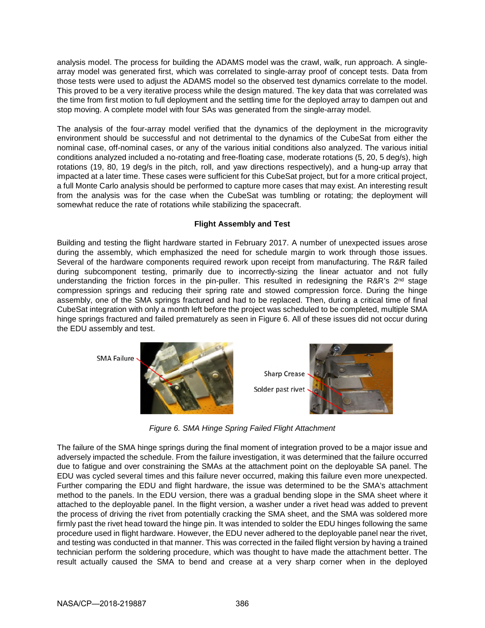analysis model. The process for building the ADAMS model was the crawl, walk, run approach. A singlearray model was generated first, which was correlated to single-array proof of concept tests. Data from those tests were used to adjust the ADAMS model so the observed test dynamics correlate to the model. This proved to be a very iterative process while the design matured. The key data that was correlated was the time from first motion to full deployment and the settling time for the deployed array to dampen out and stop moving. A complete model with four SAs was generated from the single-array model.

The analysis of the four-array model verified that the dynamics of the deployment in the microgravity environment should be successful and not detrimental to the dynamics of the CubeSat from either the nominal case, off-nominal cases, or any of the various initial conditions also analyzed. The various initial conditions analyzed included a no-rotating and free-floating case, moderate rotations (5, 20, 5 deg/s), high rotations (19, 80, 19 deg/s in the pitch, roll, and yaw directions respectively), and a hung-up array that impacted at a later time. These cases were sufficient for this CubeSat project, but for a more critical project, a full Monte Carlo analysis should be performed to capture more cases that may exist. An interesting result from the analysis was for the case when the CubeSat was tumbling or rotating; the deployment will somewhat reduce the rate of rotations while stabilizing the spacecraft.

# **Flight Assembly and Test**

Building and testing the flight hardware started in February 2017. A number of unexpected issues arose during the assembly, which emphasized the need for schedule margin to work through those issues. Several of the hardware components required rework upon receipt from manufacturing. The R&R failed during subcomponent testing, primarily due to incorrectly-sizing the linear actuator and not fully understanding the friction forces in the pin-puller. This resulted in redesigning the R&R's 2<sup>nd</sup> stage compression springs and reducing their spring rate and stowed compression force. During the hinge assembly, one of the SMA springs fractured and had to be replaced. Then, during a critical time of final CubeSat integration with only a month left before the project was scheduled to be completed, multiple SMA hinge springs fractured and failed prematurely as seen in Figure 6. All of these issues did not occur during the EDU assembly and test.

**SMA Failure** 





*Figure 6. SMA Hinge Spring Failed Flight Attachment* 

The failure of the SMA hinge springs during the final moment of integration proved to be a major issue and adversely impacted the schedule. From the failure investigation, it was determined that the failure occurred due to fatigue and over constraining the SMAs at the attachment point on the deployable SA panel. The EDU was cycled several times and this failure never occurred, making this failure even more unexpected. Further comparing the EDU and flight hardware, the issue was determined to be the SMA's attachment method to the panels. In the EDU version, there was a gradual bending slope in the SMA sheet where it attached to the deployable panel. In the flight version, a washer under a rivet head was added to prevent the process of driving the rivet from potentially cracking the SMA sheet, and the SMA was soldered more firmly past the rivet head toward the hinge pin. It was intended to solder the EDU hinges following the same procedure used in flight hardware. However, the EDU never adhered to the deployable panel near the rivet, and testing was conducted in that manner. This was corrected in the failed flight version by having a trained technician perform the soldering procedure, which was thought to have made the attachment better. The result actually caused the SMA to bend and crease at a very sharp corner when in the deployed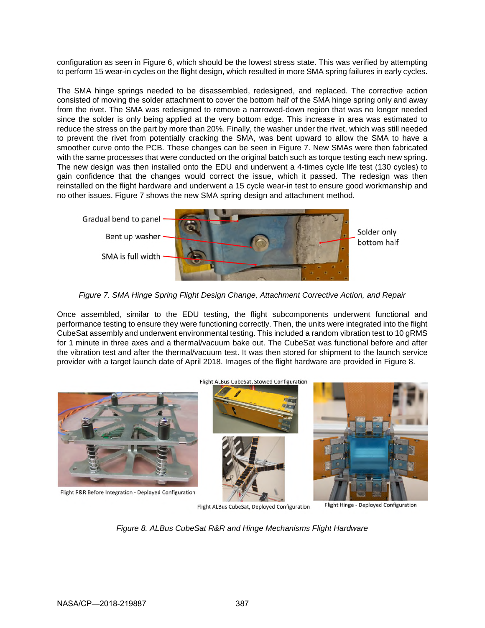configuration as seen in Figure 6, which should be the lowest stress state. This was verified by attempting to perform 15 wear-in cycles on the flight design, which resulted in more SMA spring failures in early cycles.

The SMA hinge springs needed to be disassembled, redesigned, and replaced. The corrective action consisted of moving the solder attachment to cover the bottom half of the SMA hinge spring only and away from the rivet. The SMA was redesigned to remove a narrowed-down region that was no longer needed since the solder is only being applied at the very bottom edge. This increase in area was estimated to reduce the stress on the part by more than 20%. Finally, the washer under the rivet, which was still needed to prevent the rivet from potentially cracking the SMA, was bent upward to allow the SMA to have a smoother curve onto the PCB. These changes can be seen in Figure 7. New SMAs were then fabricated with the same processes that were conducted on the original batch such as torque testing each new spring. The new design was then installed onto the EDU and underwent a 4-times cycle life test (130 cycles) to gain confidence that the changes would correct the issue, which it passed. The redesign was then reinstalled on the flight hardware and underwent a 15 cycle wear-in test to ensure good workmanship and no other issues. Figure 7 shows the new SMA spring design and attachment method.



*Figure 7. SMA Hinge Spring Flight Design Change, Attachment Corrective Action, and Repair* 

Once assembled, similar to the EDU testing, the flight subcomponents underwent functional and performance testing to ensure they were functioning correctly. Then, the units were integrated into the flight CubeSat assembly and underwent environmental testing. This included a random vibration test to 10 gRMS for 1 minute in three axes and a thermal/vacuum bake out. The CubeSat was functional before and after the vibration test and after the thermal/vacuum test. It was then stored for shipment to the launch service provider with a target launch date of April 2018. Images of the flight hardware are provided in Figure 8.



Flight ALBus CubeSat, Deployed Configuration

Flight Hinge - Deployed Configuration

*Figure 8. ALBus CubeSat R&R and Hinge Mechanisms Flight Hardware*